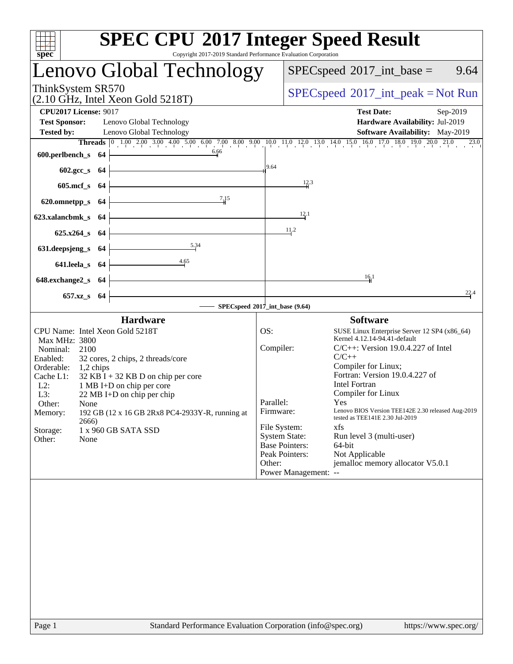| Copyright 2017-2019 Standard Performance Evaluation Corporation<br>spec <sup>®</sup>                                                                                                                                                                                                                                                                                                                                                                           | <b>SPEC CPU®2017 Integer Speed Result</b>                                                                                                                                                                                                                                                                                                                                                                                                                                                                                                                                                                                        |
|----------------------------------------------------------------------------------------------------------------------------------------------------------------------------------------------------------------------------------------------------------------------------------------------------------------------------------------------------------------------------------------------------------------------------------------------------------------|----------------------------------------------------------------------------------------------------------------------------------------------------------------------------------------------------------------------------------------------------------------------------------------------------------------------------------------------------------------------------------------------------------------------------------------------------------------------------------------------------------------------------------------------------------------------------------------------------------------------------------|
| <b>Lenovo Global Technology</b>                                                                                                                                                                                                                                                                                                                                                                                                                                | $SPEC speed^{\circledcirc}2017\_int\_base =$<br>9.64                                                                                                                                                                                                                                                                                                                                                                                                                                                                                                                                                                             |
| ThinkSystem SR570<br>$(2.10 \text{ GHz}, \text{Intel Xeon Gold } 5218 \text{T})$                                                                                                                                                                                                                                                                                                                                                                               | $SPEC speed^{\circ}2017\_int\_peak = Not Run$                                                                                                                                                                                                                                                                                                                                                                                                                                                                                                                                                                                    |
| <b>CPU2017 License: 9017</b><br><b>Test Sponsor:</b><br>Lenovo Global Technology<br><b>Tested by:</b><br>Lenovo Global Technology                                                                                                                                                                                                                                                                                                                              | <b>Test Date:</b><br>Sep-2019<br>Hardware Availability: Jul-2019<br>Software Availability: May-2019                                                                                                                                                                                                                                                                                                                                                                                                                                                                                                                              |
| 6.66<br>600.perlbench_s 64                                                                                                                                                                                                                                                                                                                                                                                                                                     | Threads 0 1.00 2.00 3.00 4.00 5.00 6.00 7.00 8.00 9.00 10.0 11.0 12.0 13.0 14.0 15.0 16.0 17.0 18.0 19.0 20.0 21.0 23.0<br>9.64                                                                                                                                                                                                                                                                                                                                                                                                                                                                                                  |
| $602.\text{sec}\_\text{S}$ 64<br>605.mcf_s 64                                                                                                                                                                                                                                                                                                                                                                                                                  | 12.3                                                                                                                                                                                                                                                                                                                                                                                                                                                                                                                                                                                                                             |
| 7.15<br>620.omnetpp_s 64                                                                                                                                                                                                                                                                                                                                                                                                                                       | 12.1                                                                                                                                                                                                                                                                                                                                                                                                                                                                                                                                                                                                                             |
| 623.xalancbmk_s 64<br>$625.x264_s$ 64                                                                                                                                                                                                                                                                                                                                                                                                                          | 11.2                                                                                                                                                                                                                                                                                                                                                                                                                                                                                                                                                                                                                             |
| 5.34<br>631.deepsjeng_s $64$<br>4.65<br>641.leela_s 64                                                                                                                                                                                                                                                                                                                                                                                                         |                                                                                                                                                                                                                                                                                                                                                                                                                                                                                                                                                                                                                                  |
| 648.exchange2_s 64                                                                                                                                                                                                                                                                                                                                                                                                                                             | $\frac{16}{1}$                                                                                                                                                                                                                                                                                                                                                                                                                                                                                                                                                                                                                   |
| 657.xz_s 64                                                                                                                                                                                                                                                                                                                                                                                                                                                    | 22.4<br>- SPECspeed®2017_int_base (9.64)                                                                                                                                                                                                                                                                                                                                                                                                                                                                                                                                                                                         |
| <b>Hardware</b><br>CPU Name: Intel Xeon Gold 5218T<br>Max MHz: 3800<br>Nominal:<br>2100<br>Enabled:<br>32 cores, 2 chips, 2 threads/core<br>Orderable:<br>$1,2$ chips<br>Cache L1:<br>$32$ KB I + 32 KB D on chip per core<br>$L2$ :<br>1 MB I+D on chip per core<br>L3:<br>$22 \text{ MB I+D}$ on chip per chip<br>Other:<br>None<br>192 GB (12 x 16 GB 2Rx8 PC4-2933Y-R, running at<br>Memory:<br>2666)<br>Storage:<br>1 x 960 GB SATA SSD<br>Other:<br>None | <b>Software</b><br>OS:<br>SUSE Linux Enterprise Server 12 SP4 (x86_64)<br>Kernel 4.12.14-94.41-default<br>Compiler:<br>$C/C++$ : Version 19.0.4.227 of Intel<br>$C/C++$<br>Compiler for Linux;<br>Fortran: Version 19.0.4.227 of<br><b>Intel Fortran</b><br>Compiler for Linux<br>Parallel:<br>Yes<br>Lenovo BIOS Version TEE142E 2.30 released Aug-2019<br>Firmware:<br>tested as TEE141E 2.30 Jul-2019<br>File System:<br>xfs<br><b>System State:</b><br>Run level 3 (multi-user)<br><b>Base Pointers:</b><br>64-bit<br>Peak Pointers:<br>Not Applicable<br>Other:<br>jemalloc memory allocator V5.0.1<br>Power Management: -- |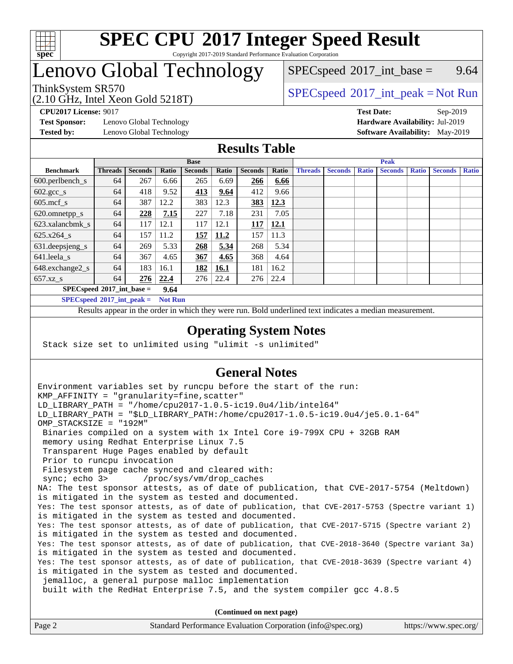

## Lenovo Global Technology

 $SPECspeed^{\circ}2017\_int\_base =$  $SPECspeed^{\circ}2017\_int\_base =$  9.64

### ThinkSystem SR570<br>  $SPEC speed^{\circ}2017\_int\_peak = Not Run$

**[Test Sponsor:](http://www.spec.org/auto/cpu2017/Docs/result-fields.html#TestSponsor)** Lenovo Global Technology **[Hardware Availability:](http://www.spec.org/auto/cpu2017/Docs/result-fields.html#HardwareAvailability)** Jul-2019

(2.10 GHz, Intel Xeon Gold 5218T)

**[CPU2017 License:](http://www.spec.org/auto/cpu2017/Docs/result-fields.html#CPU2017License)** 9017 **[Test Date:](http://www.spec.org/auto/cpu2017/Docs/result-fields.html#TestDate)** Sep-2019 **[Tested by:](http://www.spec.org/auto/cpu2017/Docs/result-fields.html#Testedby)** Lenovo Global Technology **[Software Availability:](http://www.spec.org/auto/cpu2017/Docs/result-fields.html#SoftwareAvailability)** May-2019

### **[Results Table](http://www.spec.org/auto/cpu2017/Docs/result-fields.html#ResultsTable)**

|                                      | <b>Base</b>    |                |       |                | <b>Peak</b> |                |       |                |                |              |                |              |                |              |
|--------------------------------------|----------------|----------------|-------|----------------|-------------|----------------|-------|----------------|----------------|--------------|----------------|--------------|----------------|--------------|
| <b>Benchmark</b>                     | <b>Threads</b> | <b>Seconds</b> | Ratio | <b>Seconds</b> | Ratio       | <b>Seconds</b> | Ratio | <b>Threads</b> | <b>Seconds</b> | <b>Ratio</b> | <b>Seconds</b> | <b>Ratio</b> | <b>Seconds</b> | <b>Ratio</b> |
| 600.perlbench_s                      | 64             | 267            | 6.66  | 265            | 6.69        | 266            | 6.66  |                |                |              |                |              |                |              |
| $602 \text{.} \text{gcc}\text{_<}$ s | 64             | 418            | 9.52  | <u>413</u>     | 9.64        | 412            | 9.66  |                |                |              |                |              |                |              |
| $605$ .mcf s                         | 64             | 387            | 12.2  | 383            | 12.3        | 383            | 12.3  |                |                |              |                |              |                |              |
| 620.omnetpp_s                        | 64             | 228            | 7.15  | 227            | 7.18        | 231            | 7.05  |                |                |              |                |              |                |              |
| 623.xalancbmk s                      | 64             | 117            | 12.1  | 117            | 12.1        | 117            | 12.1  |                |                |              |                |              |                |              |
| 625.x264 s                           | 64             | 157            | 11.2  | 157            | 11.2        | 157            | 11.3  |                |                |              |                |              |                |              |
| 631.deepsjeng_s                      | 64             | 269            | 5.33  | 268            | 5.34        | 268            | 5.34  |                |                |              |                |              |                |              |
| $641$ .leela_s                       | 64             | 367            | 4.65  | 367            | 4.65        | 368            | 4.64  |                |                |              |                |              |                |              |
| 648.exchange2_s                      | 64             | 183            | 16.1  | 182            | <u>16.1</u> | 181            | 16.2  |                |                |              |                |              |                |              |
| $657.xz$ s                           | 64             | 276            | 22.4  | 276            | 22.4        | 276            | 22.4  |                |                |              |                |              |                |              |
| $SPECspeed^{\circ}2017$ int base =   |                |                | 9.64  |                |             |                |       |                |                |              |                |              |                |              |

**[SPECspeed](http://www.spec.org/auto/cpu2017/Docs/result-fields.html#SPECspeed2017intpeak)[2017\\_int\\_peak =](http://www.spec.org/auto/cpu2017/Docs/result-fields.html#SPECspeed2017intpeak) Not Run**

Results appear in the [order in which they were run.](http://www.spec.org/auto/cpu2017/Docs/result-fields.html#RunOrder) Bold underlined text [indicates a median measurement.](http://www.spec.org/auto/cpu2017/Docs/result-fields.html#Median)

### **[Operating System Notes](http://www.spec.org/auto/cpu2017/Docs/result-fields.html#OperatingSystemNotes)**

Stack size set to unlimited using "ulimit -s unlimited"

### **[General Notes](http://www.spec.org/auto/cpu2017/Docs/result-fields.html#GeneralNotes)**

Environment variables set by runcpu before the start of the run: KMP AFFINITY = "granularity=fine, scatter" LD\_LIBRARY\_PATH = "/home/cpu2017-1.0.5-ic19.0u4/lib/intel64" LD\_LIBRARY\_PATH = "\$LD\_LIBRARY\_PATH:/home/cpu2017-1.0.5-ic19.0u4/je5.0.1-64" OMP\_STACKSIZE = "192M" Binaries compiled on a system with 1x Intel Core i9-799X CPU + 32GB RAM memory using Redhat Enterprise Linux 7.5 Transparent Huge Pages enabled by default Prior to runcpu invocation Filesystem page cache synced and cleared with: sync; echo 3> /proc/sys/vm/drop\_caches NA: The test sponsor attests, as of date of publication, that CVE-2017-5754 (Meltdown) is mitigated in the system as tested and documented. Yes: The test sponsor attests, as of date of publication, that CVE-2017-5753 (Spectre variant 1) is mitigated in the system as tested and documented. Yes: The test sponsor attests, as of date of publication, that CVE-2017-5715 (Spectre variant 2) is mitigated in the system as tested and documented. Yes: The test sponsor attests, as of date of publication, that CVE-2018-3640 (Spectre variant 3a) is mitigated in the system as tested and documented. Yes: The test sponsor attests, as of date of publication, that CVE-2018-3639 (Spectre variant 4) is mitigated in the system as tested and documented. jemalloc, a general purpose malloc implementation built with the RedHat Enterprise 7.5, and the system compiler gcc 4.8.5 **(Continued on next page)**

| Page 2<br>Standard Performance Evaluation Corporation (info@spec.org) | https://www.spec.org/ |
|-----------------------------------------------------------------------|-----------------------|
|-----------------------------------------------------------------------|-----------------------|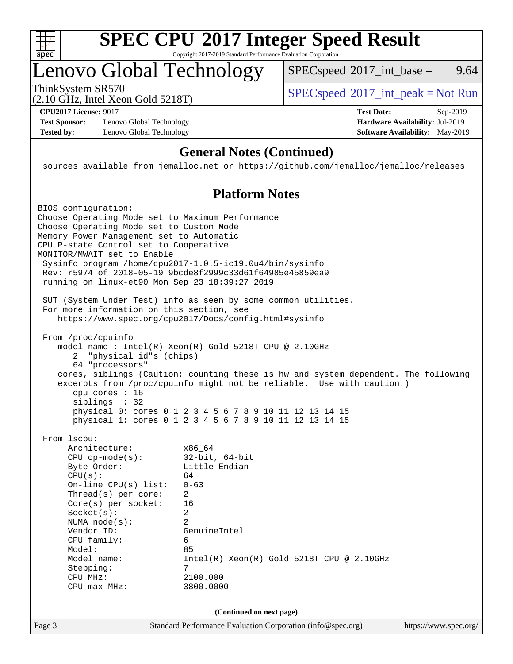

## Lenovo Global Technology

ThinkSystem SR570<br>  $(2.10 \text{ GHz} \text{ Intel } \text{Yoon} \text{ Gold } 5218 \text{T})$  [SPECspeed](http://www.spec.org/auto/cpu2017/Docs/result-fields.html#SPECspeed2017intpeak)<sup>®</sup>[2017\\_int\\_peak = N](http://www.spec.org/auto/cpu2017/Docs/result-fields.html#SPECspeed2017intpeak)ot Run  $SPECspeed^{\circledcirc}2017\_int\_base =$  $SPECspeed^{\circledcirc}2017\_int\_base =$  9.64

(2.10 GHz, Intel Xeon Gold 5218T)

**[Test Sponsor:](http://www.spec.org/auto/cpu2017/Docs/result-fields.html#TestSponsor)** Lenovo Global Technology **[Hardware Availability:](http://www.spec.org/auto/cpu2017/Docs/result-fields.html#HardwareAvailability)** Jul-2019 **[Tested by:](http://www.spec.org/auto/cpu2017/Docs/result-fields.html#Testedby)** Lenovo Global Technology **[Software Availability:](http://www.spec.org/auto/cpu2017/Docs/result-fields.html#SoftwareAvailability)** May-2019

**[CPU2017 License:](http://www.spec.org/auto/cpu2017/Docs/result-fields.html#CPU2017License)** 9017 **[Test Date:](http://www.spec.org/auto/cpu2017/Docs/result-fields.html#TestDate)** Sep-2019

### **[General Notes \(Continued\)](http://www.spec.org/auto/cpu2017/Docs/result-fields.html#GeneralNotes)**

sources available from jemalloc.net or <https://github.com/jemalloc/jemalloc/releases>

### **[Platform Notes](http://www.spec.org/auto/cpu2017/Docs/result-fields.html#PlatformNotes)**

| BIOS configuration:<br>Choose Operating Mode set to Maximum Performance<br>Choose Operating Mode set to Custom Mode<br>Memory Power Management set to Automatic<br>CPU P-state Control set to Cooperative<br>MONITOR/MWAIT set to Enable<br>running on linux-et90 Mon Sep 23 18:39:27 2019      | Sysinfo program /home/cpu2017-1.0.5-ic19.0u4/bin/sysinfo<br>Rev: r5974 of 2018-05-19 9bcde8f2999c33d61f64985e45859ea9                                                                                                                                                                                                                           |                       |
|-------------------------------------------------------------------------------------------------------------------------------------------------------------------------------------------------------------------------------------------------------------------------------------------------|-------------------------------------------------------------------------------------------------------------------------------------------------------------------------------------------------------------------------------------------------------------------------------------------------------------------------------------------------|-----------------------|
| For more information on this section, see                                                                                                                                                                                                                                                       | SUT (System Under Test) info as seen by some common utilities.<br>https://www.spec.org/cpu2017/Docs/config.html#sysinfo                                                                                                                                                                                                                         |                       |
| From /proc/cpuinfo<br>"physical id"s (chips)<br>2<br>64 "processors"<br>cpu cores : 16<br>siblings : 32                                                                                                                                                                                         | model name: $Intel(R)$ Xeon $(R)$ Gold 5218T CPU @ 2.10GHz<br>cores, siblings (Caution: counting these is hw and system dependent. The following<br>excerpts from /proc/cpuinfo might not be reliable. Use with caution.)<br>physical 0: cores 0 1 2 3 4 5 6 7 8 9 10 11 12 13 14 15<br>physical 1: cores 0 1 2 3 4 5 6 7 8 9 10 11 12 13 14 15 |                       |
| From 1scpu:<br>Architecture:<br>$CPU$ op-mode( $s$ ):<br>Byte Order:<br>CPU(s):<br>On-line CPU $(s)$ list:<br>Thread(s) per core:<br>$Core(s)$ per socket:<br>Socket(s):<br>NUMA $node(s):$<br>Vendor ID:<br>CPU family:<br>Model:<br>Model name:<br>Stepping:<br>CPU MHz:<br>$CPU$ max $MHz$ : | x86_64<br>$32$ -bit, $64$ -bit<br>Little Endian<br>64<br>$0 - 63$<br>$\overline{a}$<br>16<br>$\overline{a}$<br>2<br>GenuineIntel<br>6<br>85<br>$Intel(R) Xeon(R) Gold 5218T CPU @ 2.10GHz$<br>7<br>2100.000<br>3800.0000                                                                                                                        |                       |
| Page 3                                                                                                                                                                                                                                                                                          | (Continued on next page)<br>Standard Performance Evaluation Corporation (info@spec.org)                                                                                                                                                                                                                                                         | https://www.spec.org/ |
|                                                                                                                                                                                                                                                                                                 |                                                                                                                                                                                                                                                                                                                                                 |                       |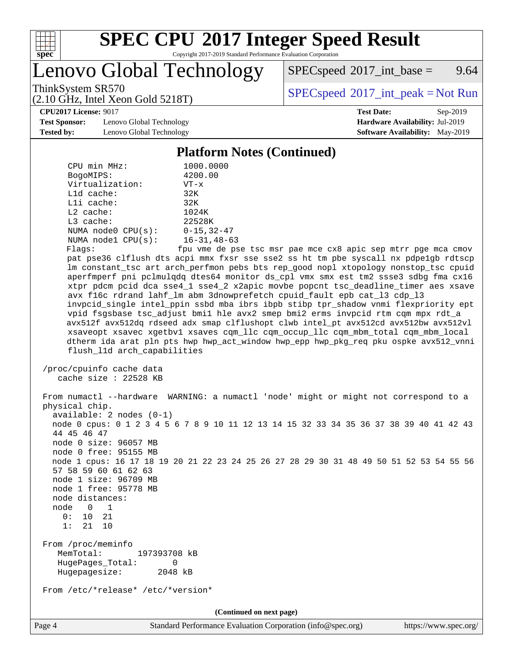

# **[SPEC CPU](http://www.spec.org/auto/cpu2017/Docs/result-fields.html#SPECCPU2017IntegerSpeedResult)[2017 Integer Speed Result](http://www.spec.org/auto/cpu2017/Docs/result-fields.html#SPECCPU2017IntegerSpeedResult)**

Copyright 2017-2019 Standard Performance Evaluation Corporation

Lenovo Global Technology

 $SPECspeed^{\circledcirc}2017\_int\_base =$  $SPECspeed^{\circledcirc}2017\_int\_base =$  9.64

(2.10 GHz, Intel Xeon Gold 5218T)

ThinkSystem SR570<br>  $(2.10 \text{ GHz} \text{ Intel } \text{Yoon} \text{ Gold } 5218 \text{T})$  [SPECspeed](http://www.spec.org/auto/cpu2017/Docs/result-fields.html#SPECspeed2017intpeak)<sup>®</sup>[2017\\_int\\_peak = N](http://www.spec.org/auto/cpu2017/Docs/result-fields.html#SPECspeed2017intpeak)ot Run

#### **[CPU2017 License:](http://www.spec.org/auto/cpu2017/Docs/result-fields.html#CPU2017License)** 9017 **[Test Date:](http://www.spec.org/auto/cpu2017/Docs/result-fields.html#TestDate)** Sep-2019

**[Test Sponsor:](http://www.spec.org/auto/cpu2017/Docs/result-fields.html#TestSponsor)** Lenovo Global Technology **[Hardware Availability:](http://www.spec.org/auto/cpu2017/Docs/result-fields.html#HardwareAvailability)** Jul-2019 **[Tested by:](http://www.spec.org/auto/cpu2017/Docs/result-fields.html#Testedby)** Lenovo Global Technology **[Software Availability:](http://www.spec.org/auto/cpu2017/Docs/result-fields.html#SoftwareAvailability)** May-2019

### **[Platform Notes \(Continued\)](http://www.spec.org/auto/cpu2017/Docs/result-fields.html#PlatformNotes)**

| CPU min MHz:<br>BogoMIPS:<br>Virtualization:<br>$L1d$ cache:<br>Lli cache:<br>L2 cache:              | 1000.0000<br>4200.00<br>$VT - x$<br>32K<br>32K<br>1024K                                                                                                                                                                                                                                                                                                                                                                                                                                                                                                                                                                                                                                                                                                                                                                                                                                                                                         |
|------------------------------------------------------------------------------------------------------|-------------------------------------------------------------------------------------------------------------------------------------------------------------------------------------------------------------------------------------------------------------------------------------------------------------------------------------------------------------------------------------------------------------------------------------------------------------------------------------------------------------------------------------------------------------------------------------------------------------------------------------------------------------------------------------------------------------------------------------------------------------------------------------------------------------------------------------------------------------------------------------------------------------------------------------------------|
| $L3$ cache:<br>NUMA $node0$ $CPU(s):$                                                                | 22528K<br>$0 - 15, 32 - 47$                                                                                                                                                                                                                                                                                                                                                                                                                                                                                                                                                                                                                                                                                                                                                                                                                                                                                                                     |
| NUMA $node1$ $CPU(s):$                                                                               | $16 - 31, 48 - 63$                                                                                                                                                                                                                                                                                                                                                                                                                                                                                                                                                                                                                                                                                                                                                                                                                                                                                                                              |
| Flags:<br>flush_11d arch_capabilities                                                                | fpu vme de pse tsc msr pae mce cx8 apic sep mtrr pge mca cmov<br>pat pse36 clflush dts acpi mmx fxsr sse sse2 ss ht tm pbe syscall nx pdpelgb rdtscp<br>lm constant_tsc art arch_perfmon pebs bts rep_good nopl xtopology nonstop_tsc cpuid<br>aperfmperf pni pclmulqdq dtes64 monitor ds_cpl vmx smx est tm2 ssse3 sdbg fma cx16<br>xtpr pdcm pcid dca sse4_1 sse4_2 x2apic movbe popcnt tsc_deadline_timer aes xsave<br>avx f16c rdrand lahf_lm abm 3dnowprefetch cpuid_fault epb cat_13 cdp_13<br>invpcid_single intel_ppin ssbd mba ibrs ibpb stibp tpr_shadow vnmi flexpriority ept<br>vpid fsgsbase tsc_adjust bmil hle avx2 smep bmi2 erms invpcid rtm cqm mpx rdt_a<br>avx512f avx512dq rdseed adx smap clflushopt clwb intel_pt avx512cd avx512bw avx512vl<br>xsaveopt xsavec xgetbvl xsaves cqm_llc cqm_occup_llc cqm_mbm_total cqm_mbm_local<br>dtherm ida arat pln pts hwp hwp_act_window hwp_epp hwp_pkg_req pku ospke avx512_vnni |
| /proc/cpuinfo cache data<br>cache size : $22528$ KB                                                  |                                                                                                                                                                                                                                                                                                                                                                                                                                                                                                                                                                                                                                                                                                                                                                                                                                                                                                                                                 |
| physical chip.                                                                                       | From numactl --hardware WARNING: a numactl 'node' might or might not correspond to a                                                                                                                                                                                                                                                                                                                                                                                                                                                                                                                                                                                                                                                                                                                                                                                                                                                            |
| $available: 2 nodes (0-1)$<br>44 45 46 47<br>node 0 size: 96057 MB                                   | node 0 cpus: 0 1 2 3 4 5 6 7 8 9 10 11 12 13 14 15 32 33 34 35 36 37 38 39 40 41 42 43                                                                                                                                                                                                                                                                                                                                                                                                                                                                                                                                                                                                                                                                                                                                                                                                                                                          |
| node 0 free: 95155 MB<br>57 58 59 60 61 62 63                                                        | node 1 cpus: 16 17 18 19 20 21 22 23 24 25 26 27 28 29 30 31 48 49 50 51 52 53 54 55 56                                                                                                                                                                                                                                                                                                                                                                                                                                                                                                                                                                                                                                                                                                                                                                                                                                                         |
| node 1 size: 96709 MB<br>node 1 free: 95778 MB                                                       |                                                                                                                                                                                                                                                                                                                                                                                                                                                                                                                                                                                                                                                                                                                                                                                                                                                                                                                                                 |
| node distances:<br>$\overline{0}$<br>node<br>$\mathbf{1}$<br>21<br>0 :<br>10<br>1:<br>21<br>10       |                                                                                                                                                                                                                                                                                                                                                                                                                                                                                                                                                                                                                                                                                                                                                                                                                                                                                                                                                 |
| From /proc/meminfo<br>MemTotal:<br>197393708 kB<br>HugePages Total:<br>0<br>Hugepagesize:<br>2048 kB |                                                                                                                                                                                                                                                                                                                                                                                                                                                                                                                                                                                                                                                                                                                                                                                                                                                                                                                                                 |
| From /etc/*release* /etc/*version*                                                                   |                                                                                                                                                                                                                                                                                                                                                                                                                                                                                                                                                                                                                                                                                                                                                                                                                                                                                                                                                 |
|                                                                                                      | (Continued on next page)                                                                                                                                                                                                                                                                                                                                                                                                                                                                                                                                                                                                                                                                                                                                                                                                                                                                                                                        |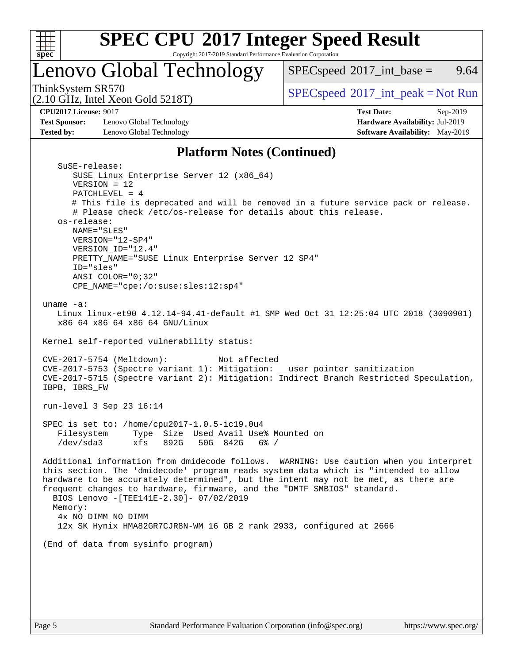

# **[SPEC CPU](http://www.spec.org/auto/cpu2017/Docs/result-fields.html#SPECCPU2017IntegerSpeedResult)[2017 Integer Speed Result](http://www.spec.org/auto/cpu2017/Docs/result-fields.html#SPECCPU2017IntegerSpeedResult)**

Copyright 2017-2019 Standard Performance Evaluation Corporation

## Lenovo Global Technology

 $SPECspeed^{\circledcirc}2017\_int\_base =$  $SPECspeed^{\circledcirc}2017\_int\_base =$  9.64

(2.10 GHz, Intel Xeon Gold 5218T)

ThinkSystem SR570<br>  $(2.10 \text{ GHz} \text{ Intel } \text{Yoon} \text{ Gold } 5218 \text{T})$  [SPECspeed](http://www.spec.org/auto/cpu2017/Docs/result-fields.html#SPECspeed2017intpeak)<sup>®</sup>[2017\\_int\\_peak = N](http://www.spec.org/auto/cpu2017/Docs/result-fields.html#SPECspeed2017intpeak)ot Run

**[Test Sponsor:](http://www.spec.org/auto/cpu2017/Docs/result-fields.html#TestSponsor)** Lenovo Global Technology **[Hardware Availability:](http://www.spec.org/auto/cpu2017/Docs/result-fields.html#HardwareAvailability)** Jul-2019 **[Tested by:](http://www.spec.org/auto/cpu2017/Docs/result-fields.html#Testedby)** Lenovo Global Technology **[Software Availability:](http://www.spec.org/auto/cpu2017/Docs/result-fields.html#SoftwareAvailability)** May-2019

**[CPU2017 License:](http://www.spec.org/auto/cpu2017/Docs/result-fields.html#CPU2017License)** 9017 **[Test Date:](http://www.spec.org/auto/cpu2017/Docs/result-fields.html#TestDate)** Sep-2019

### **[Platform Notes \(Continued\)](http://www.spec.org/auto/cpu2017/Docs/result-fields.html#PlatformNotes)**

| SuSE-release:                                                                          |
|----------------------------------------------------------------------------------------|
| SUSE Linux Enterprise Server 12 (x86_64)                                               |
| $VERSION = 12$                                                                         |
| $PATCHLEVEL = 4$                                                                       |
| # This file is deprecated and will be removed in a future service pack or release.     |
| # Please check /etc/os-release for details about this release.                         |
| os-release:                                                                            |
| NAME="SLES"                                                                            |
| VERSION="12-SP4"                                                                       |
| VERSION_ID="12.4"                                                                      |
| PRETTY_NAME="SUSE Linux Enterprise Server 12 SP4"                                      |
| ID="sles"                                                                              |
| $ANSI$ _COLOR=" $0:32$ "                                                               |
| CPE_NAME="cpe:/o:suse:sles:12:sp4"                                                     |
|                                                                                        |
| uname $-a$ :                                                                           |
| Linux linux-et90 4.12.14-94.41-default #1 SMP Wed Oct 31 12:25:04 UTC 2018 (3090901)   |
| x86_64 x86_64 x86_64 GNU/Linux                                                         |
|                                                                                        |
| Kernel self-reported vulnerability status:                                             |
|                                                                                        |
| CVE-2017-5754 (Meltdown):<br>Not affected                                              |
| CVE-2017-5753 (Spectre variant 1): Mitigation: __user pointer sanitization             |
|                                                                                        |
| CVE-2017-5715 (Spectre variant 2): Mitigation: Indirect Branch Restricted Speculation, |
| IBPB, IBRS_FW                                                                          |
|                                                                                        |
| run-level 3 Sep 23 16:14                                                               |
|                                                                                        |
| SPEC is set to: /home/cpu2017-1.0.5-ic19.0u4                                           |
| Filesystem<br>Type Size Used Avail Use% Mounted on                                     |
| /dev/sda3<br>xfs 892G 50G 842G 6% /                                                    |
|                                                                                        |
| Additional information from dmidecode follows. WARNING: Use caution when you interpret |
| this section. The 'dmidecode' program reads system data which is "intended to allow    |
| hardware to be accurately determined", but the intent may not be met, as there are     |
| frequent changes to hardware, firmware, and the "DMTF SMBIOS" standard.                |
| BIOS Lenovo -[TEE141E-2.30]- 07/02/2019                                                |
| Memory:                                                                                |
| 4x NO DIMM NO DIMM                                                                     |
| 12x SK Hynix HMA82GR7CJR8N-WM 16 GB 2 rank 2933, configured at 2666                    |
|                                                                                        |
| (End of data from sysinfo program)                                                     |
|                                                                                        |
|                                                                                        |
|                                                                                        |
|                                                                                        |
|                                                                                        |
|                                                                                        |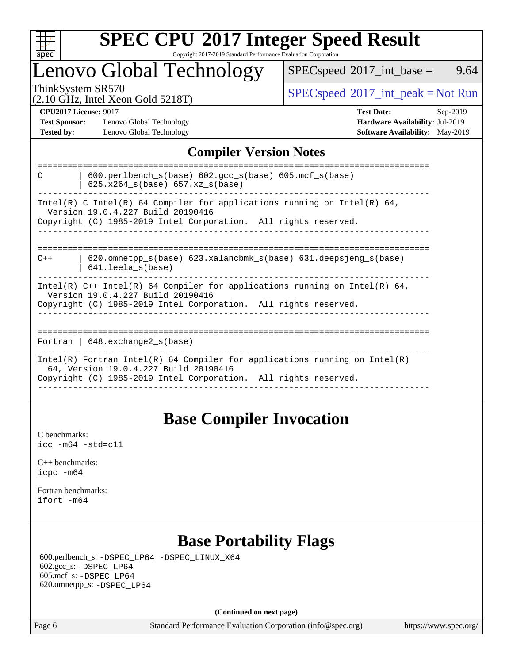

## Lenovo Global Technology

 $SPECspeed^{\circ}2017\_int\_base =$  $SPECspeed^{\circ}2017\_int\_base =$  9.64

(2.10 GHz, Intel Xeon Gold 5218T)

ThinkSystem SR570<br>  $(2.10 \text{ GHz}_{\text{total}} \text{ York})$  [SPECspeed](http://www.spec.org/auto/cpu2017/Docs/result-fields.html#SPECspeed2017intpeak)<sup>®</sup>[2017\\_int\\_peak = N](http://www.spec.org/auto/cpu2017/Docs/result-fields.html#SPECspeed2017intpeak)ot Run

**[Test Sponsor:](http://www.spec.org/auto/cpu2017/Docs/result-fields.html#TestSponsor)** Lenovo Global Technology **[Hardware Availability:](http://www.spec.org/auto/cpu2017/Docs/result-fields.html#HardwareAvailability)** Jul-2019 **[Tested by:](http://www.spec.org/auto/cpu2017/Docs/result-fields.html#Testedby)** Lenovo Global Technology **[Software Availability:](http://www.spec.org/auto/cpu2017/Docs/result-fields.html#SoftwareAvailability)** May-2019

**[CPU2017 License:](http://www.spec.org/auto/cpu2017/Docs/result-fields.html#CPU2017License)** 9017 **[Test Date:](http://www.spec.org/auto/cpu2017/Docs/result-fields.html#TestDate)** Sep-2019

### **[Compiler Version Notes](http://www.spec.org/auto/cpu2017/Docs/result-fields.html#CompilerVersionNotes)**

| $600.$ perlbench $s(base)$ $602.$ qcc $s(base)$ $605.$ mcf $s(base)$<br>C<br>$625.x264_s(base) 657.xz_s(base)$      |
|---------------------------------------------------------------------------------------------------------------------|
| Intel(R) C Intel(R) 64 Compiler for applications running on Intel(R) 64,<br>Version 19.0.4.227 Build 20190416       |
| Copyright (C) 1985-2019 Intel Corporation. All rights reserved.                                                     |
|                                                                                                                     |
| $620$ .omnetpp $s(base)$ 623.xalancbmk $s(base)$ 631.deepsjeng $s(base)$<br>$C++$<br>$641.$ leela $s(base)$         |
| Intel(R) $C++$ Intel(R) 64 Compiler for applications running on Intel(R) 64,<br>Version 19.0.4.227 Build 20190416   |
| Copyright (C) 1985-2019 Intel Corporation. All rights reserved.                                                     |
|                                                                                                                     |
| Fortran   $648$ . exchange2 $s(base)$                                                                               |
| Intel(R) Fortran Intel(R) 64 Compiler for applications running on Intel(R)<br>64, Version 19.0.4.227 Build 20190416 |
| Copyright (C) 1985-2019 Intel Corporation. All rights reserved.                                                     |
|                                                                                                                     |

## **[Base Compiler Invocation](http://www.spec.org/auto/cpu2017/Docs/result-fields.html#BaseCompilerInvocation)**

[C benchmarks](http://www.spec.org/auto/cpu2017/Docs/result-fields.html#Cbenchmarks): [icc -m64 -std=c11](http://www.spec.org/cpu2017/results/res2019q4/cpu2017-20190926-18654.flags.html#user_CCbase_intel_icc_64bit_c11_33ee0cdaae7deeeab2a9725423ba97205ce30f63b9926c2519791662299b76a0318f32ddfffdc46587804de3178b4f9328c46fa7c2b0cd779d7a61945c91cd35)

[C++ benchmarks:](http://www.spec.org/auto/cpu2017/Docs/result-fields.html#CXXbenchmarks) [icpc -m64](http://www.spec.org/cpu2017/results/res2019q4/cpu2017-20190926-18654.flags.html#user_CXXbase_intel_icpc_64bit_4ecb2543ae3f1412ef961e0650ca070fec7b7afdcd6ed48761b84423119d1bf6bdf5cad15b44d48e7256388bc77273b966e5eb805aefd121eb22e9299b2ec9d9)

[Fortran benchmarks](http://www.spec.org/auto/cpu2017/Docs/result-fields.html#Fortranbenchmarks): [ifort -m64](http://www.spec.org/cpu2017/results/res2019q4/cpu2017-20190926-18654.flags.html#user_FCbase_intel_ifort_64bit_24f2bb282fbaeffd6157abe4f878425411749daecae9a33200eee2bee2fe76f3b89351d69a8130dd5949958ce389cf37ff59a95e7a40d588e8d3a57e0c3fd751)

## **[Base Portability Flags](http://www.spec.org/auto/cpu2017/Docs/result-fields.html#BasePortabilityFlags)**

 600.perlbench\_s: [-DSPEC\\_LP64](http://www.spec.org/cpu2017/results/res2019q4/cpu2017-20190926-18654.flags.html#b600.perlbench_s_basePORTABILITY_DSPEC_LP64) [-DSPEC\\_LINUX\\_X64](http://www.spec.org/cpu2017/results/res2019q4/cpu2017-20190926-18654.flags.html#b600.perlbench_s_baseCPORTABILITY_DSPEC_LINUX_X64) 602.gcc\_s: [-DSPEC\\_LP64](http://www.spec.org/cpu2017/results/res2019q4/cpu2017-20190926-18654.flags.html#suite_basePORTABILITY602_gcc_s_DSPEC_LP64) 605.mcf\_s: [-DSPEC\\_LP64](http://www.spec.org/cpu2017/results/res2019q4/cpu2017-20190926-18654.flags.html#suite_basePORTABILITY605_mcf_s_DSPEC_LP64) 620.omnetpp\_s: [-DSPEC\\_LP64](http://www.spec.org/cpu2017/results/res2019q4/cpu2017-20190926-18654.flags.html#suite_basePORTABILITY620_omnetpp_s_DSPEC_LP64)

**(Continued on next page)**

Page 6 Standard Performance Evaluation Corporation [\(info@spec.org\)](mailto:info@spec.org) <https://www.spec.org/>